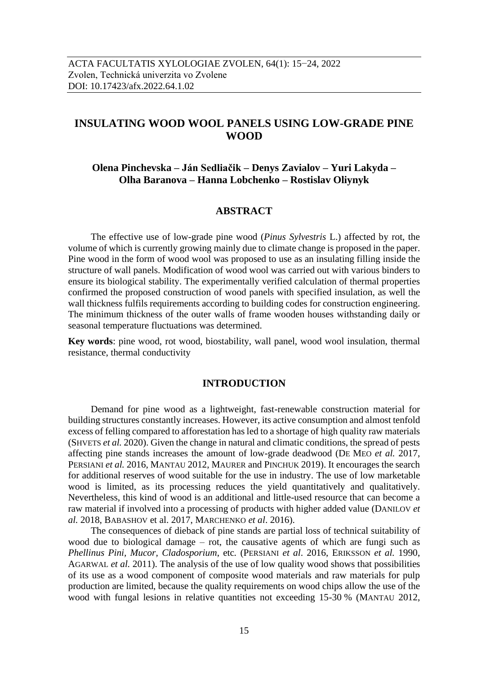# **INSULATING WOOD WOOL PANELS USING LOW-GRADE PINE WOOD**

**Olena Pinchevska – Ján Sedliačik – Denys Zavialov – Yuri Lakyda – Olha Baranova – Hanna Lobchenko – Rostislav Oliynyk**

### **ABSTRACT**

The effective use of low-grade pine wood (*Pinus Sylvestris* L.) affected by rot, the volume of which is currently growing mainly due to climate change is proposed in the paper. Pine wood in the form of wood wool was proposed to use as an insulating filling inside the structure of wall panels. Modification of wood wool was carried out with various binders to ensure its biological stability. The experimentally verified calculation of thermal properties confirmed the proposed construction of wood panels with specified insulation, as well the wall thickness fulfils requirements according to building codes for construction engineering. The minimum thickness of the outer walls of frame wooden houses withstanding daily or seasonal temperature fluctuations was determined.

**Key words**: pine wood, rot wood, biostability, wall panel, wood wool insulation, thermal resistance, thermal conductivity

### **INTRODUCTION**

Demand for pine wood as a lightweight, fast-renewable construction material for building structures constantly increases. However, its active consumption and almost tenfold excess of felling compared to afforestation has led to a shortage of high quality raw materials (SHVETS *et al.* 2020). Given the change in natural and climatic conditions, the spread of pests affecting pine stands increases the amount of low-grade deadwood (DE MEO *et al.* 2017, PERSIANI *et al.* 2016, MANTAU 2012, MAURER and PINCHUK 2019). It encourages the search for additional reserves of wood suitable for the use in industry. The use of low marketable wood is limited, as its processing reduces the yield quantitatively and qualitatively. Nevertheless, this kind of wood is an additional and little-used resource that can become a raw material if involved into a processing of products with higher added value (DANILOV *et al.* 2018, BABASHOV et al. 2017, MARCHENKO *et al*. 2016).

The consequences of dieback of pine stands are partial loss of technical suitability of wood due to biological damage – rot, the causative agents of which are fungi such as *Phellinus Pini, Mucor, Cladosporium*, etc*.* (PERSIANI *et al*. 2016, ERIKSSON *et al.* 1990, AGARWAL *et al.* 2011). The analysis of the use of low quality wood shows that possibilities of its use as a wood component of composite wood materials and raw materials for pulp production are limited, because the quality requirements on wood chips allow the use of the wood with fungal lesions in relative quantities not exceeding 15-30 % (MANTAU 2012,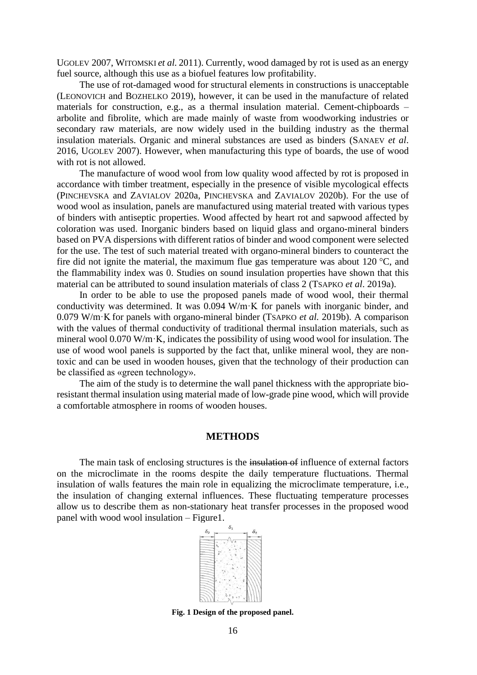UGOLEV 2007, WITOMSKI *et al.* 2011). Currently, wood damaged by rot is used as an energy fuel source, although this use as a biofuel features low profitability.

The use of rot-damaged wood for structural elements in constructions is unacceptable (LEONOVICH and BOZHELKO 2019), however, it can be used in the manufacture of related materials for construction, e.g., as a thermal insulation material. Cement-chipboards – arbolite and fibrolite, which are made mainly of waste from woodworking industries or secondary raw materials, are now widely used in the building industry as the thermal insulation materials. Organic and mineral substances are used as binders (SANAEV *et al*. 2016, UGOLEV 2007). However, when manufacturing this type of boards, the use of wood with rot is not allowed.

The manufacture of wood wool from low quality wood affected by rot is proposed in accordance with timber treatment, especially in the presence of visible mycological effects (PINCHEVSKA and ZAVIALOV 2020a, PINCHEVSKA and ZAVIALOV 2020b). For the use of wood wool as insulation, panels are manufactured using material treated with various types of binders with antiseptic properties. Wood affected by heart rot and sapwood affected by coloration was used. Inorganic binders based on liquid glass and organo-mineral binders based on PVA dispersions with different ratios of binder and wood component were selected for the use. The test of such material treated with organo-mineral binders to counteract the fire did not ignite the material, the maximum flue gas temperature was about 120 °C, and the flammability index was 0. Studies on sound insulation properties have shown that this material can be attributed to sound insulation materials of class 2 (TSAPKO *et al*. 2019a).

In order to be able to use the proposed panels made of wood wool, their thermal conductivity was determined. It was 0.094 W/m·K for panels with inorganic binder, and 0.079 W/m·K for panels with organo-mineral binder (TSAPKO *et al.* 2019b). A comparison with the values of thermal conductivity of traditional thermal insulation materials, such as mineral wool 0.070 W/m·K, indicates the possibility of using wood wool for insulation. The use of wood wool panels is supported by the fact that, unlike mineral wool, they are nontoxic and can be used in wooden houses, given that the technology of their production can be classified as «green technology».

The aim of the study is to determine the wall panel thickness with the appropriate bioresistant thermal insulation using material made of low-grade pine wood, which will provide a comfortable atmosphere in rooms of wooden houses.

### **METHODS**

The main task of enclosing structures is the insulation of influence of external factors on the microclimate in the rooms despite the daily temperature fluctuations. Thermal insulation of walls features the main role in equalizing the microclimate temperature, i.e., the insulation of changing external influences. These fluctuating temperature processes allow us to describe them as non-stationary heat transfer processes in the proposed wood panel with wood wool insulation – Figure1.



**Fig. 1 Design of the proposed panel.**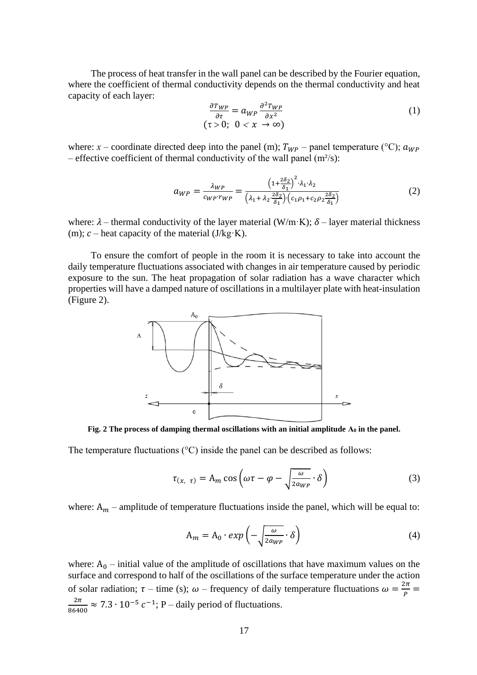The process of heat transfer in the wall panel can be described by the Fourier equation, where the coefficient of thermal conductivity depends on the thermal conductivity and heat capacity of each layer:

$$
\frac{\partial Tw_P}{\partial \tau} = a_{WP} \frac{\partial^2 Tw_P}{\partial x^2} \tag{1}
$$
\n
$$
(\tau > 0; \quad 0 < x \to \infty)
$$

where: *x* – coordinate directed deep into the panel (m);  $T_{WP}$  – panel temperature (°C);  $a_{WP}$ – effective coefficient of thermal conductivity of the wall panel  $(m<sup>2</sup>/s)$ :

$$
a_{WP} = \frac{\lambda_{WP}}{c_{WP} \cdot r_{WP}} = \frac{\left(1 + \frac{2\delta_2}{\delta_1}\right)^2 \cdot \lambda_1 \cdot \lambda_2}{\left(\lambda_1 + \lambda_2 \cdot \frac{2\delta_2}{\delta_1}\right) \cdot \left(c_1 \rho_1 + c_2 \rho_2 \frac{2\delta_2}{\delta_1}\right)}\tag{2}
$$

where:  $\lambda$  – thermal conductivity of the layer material (W/m·K);  $\delta$  – layer material thickness (m);  $c$  – heat capacity of the material (J/kg·K).

To ensure the comfort of people in the room it is necessary to take into account the daily temperature fluctuations associated with changes in air temperature caused by periodic exposure to the sun. The heat propagation of solar radiation has a wave character which properties will have a damped nature of oscillations in a multilayer plate with heat-insulation (Figure 2).



**Fig.** 2 The process of damping thermal oscillations with an initial amplitude  $A_0$  in the panel.

The temperature fluctuations  $({}^{\circ}C)$  inside the panel can be described as follows:

$$
\tau_{(x, \tau)} = A_m \cos \left( \omega \tau - \varphi - \sqrt{\frac{\omega}{2a_{WP}}} \cdot \delta \right)
$$
 (3)

where:  $A_m$  – amplitude of temperature fluctuations inside the panel, which will be equal to:

$$
A_m = A_0 \cdot exp\left(-\sqrt{\frac{\omega}{2a_{WP}}} \cdot \delta\right) \tag{4}
$$

where:  $A_0$  – initial value of the amplitude of oscillations that have maximum values on the surface and correspond to half of the oscillations of the surface temperature under the action of solar radiation;  $\tau$  – time (s);  $\omega$  – frequency of daily temperature fluctuations  $\omega = \frac{2\pi}{\rho}$  $\frac{2\pi}{P}$  =  $2\pi$  $\frac{2\pi}{86400} \approx 7.3 \cdot 10^{-5} c^{-1}$ ; P – daily period of fluctuations.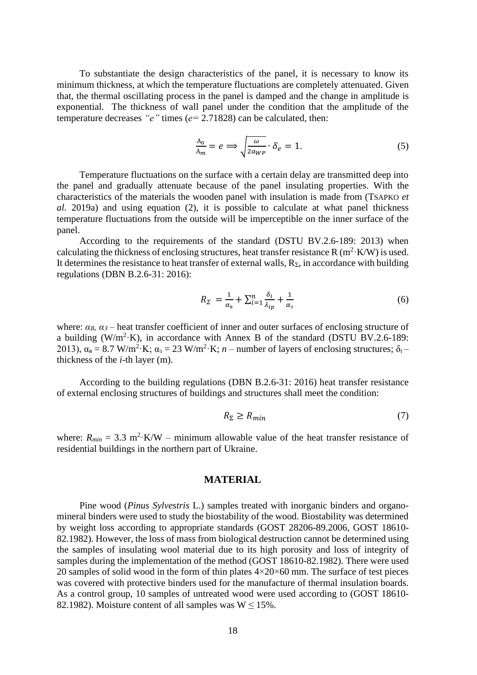To substantiate the design characteristics of the panel, it is necessary to know its minimum thickness, at which the temperature fluctuations are completely attenuated. Given that, the thermal oscillating process in the panel is damped and the change in amplitude is exponential. The thickness of wall panel under the condition that the amplitude of the temperature decreases *"е"* times (*е=* 2.71828) can be calculated*,* then:

$$
\frac{A_0}{A_m} = e \Longrightarrow \sqrt{\frac{\omega}{2a_{WP}}} \cdot \delta_e = 1.
$$
 (5)

Temperature fluctuations on the surface with a certain delay are transmitted deep into the panel and gradually attenuate because of the panel insulating properties. With the characteristics of the materials the wooden panel with insulation is made from (TSAPKO *et al.* 2019a) and using equation (2), it is possible to calculate at what panel thickness temperature fluctuations from the outside will be imperceptible on the inner surface of the panel.

According to the requirements of the standard (DSTU BV.2.6-189: 2013) when calculating the thickness of enclosing structures, heat transfer resistance R ( $m^2$ ·K/W) is used. It determines the resistance to heat transfer of external walls,  $R_{\Sigma}$ , in accordance with building regulations (DBN B.2.6-31: 2016):

$$
R_{\Sigma} = \frac{1}{\alpha_{\rm s}} + \sum_{i=1}^{n} \frac{\delta_i}{\lambda_{ip}} + \frac{1}{\alpha_{\rm s}} \tag{6}
$$

where: *αВ, α<sup>З</sup>* – heat transfer coefficient of inner and outer surfaces of enclosing structure of a building (W/m<sup>2</sup>·K), in accordance with Annex B of the standard (DSTU BV.2.6-189: 2013),  $\alpha_{\rm B} = 8.7 \text{ W/m}^2 \cdot \text{K}$ ;  $\alpha_{\rm s} = 23 \text{ W/m}^2 \cdot \text{K}$ ;  $n$  – number of layers of enclosing structures;  $\delta_{\rm i}$ – thickness of the *i*-th layer (m).

According to the building regulations (DBN B.2.6-31: 2016) heat transfer resistance of external enclosing structures of buildings and structures shall meet the condition:

$$
R_{\Sigma} \ge R_{min} \tag{7}
$$

where:  $R_{min} = 3.3 \text{ m}^2 \cdot \text{K/W}$  – minimum allowable value of the heat transfer resistance of residential buildings in the northern part of Ukraine.

### **MATERIAL**

Pine wood (*Pinus Sylvestris* L.) samples treated with inorganic binders and organomineral binders were used to study the biostability of the wood. Biostability was determined by weight loss according to appropriate standards (GOST 28206-89.2006, GOST 18610- 82.1982). However, the loss of mass from biological destruction cannot be determined using the samples of insulating wool material due to its high porosity and loss of integrity of samples during the implementation of the method (GOST 18610-82.1982). There were used 20 samples of solid wood in the form of thin plates  $4 \times 20 \times 60$  mm. The surface of test pieces was covered with protective binders used for the manufacture of thermal insulation boards. As a control group, 10 samples of untreated wood were used according to (GOST 18610- 82.1982). Moisture content of all samples was  $W \le 15\%$ .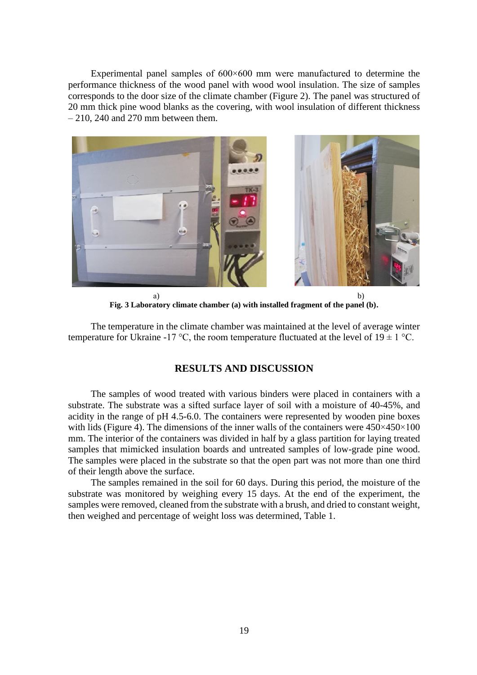Experimental panel samples of 600×600 mm were manufactured to determine the performance thickness of the wood panel with wood wool insulation. The size of samples corresponds to the door size of the climate chamber (Figure 2). The panel was structured of 20 mm thick pine wood blanks as the covering, with wool insulation of different thickness  $-210$ , 240 and 270 mm between them.



a) b) **Fig. 3 Laboratory climate chamber (a) with installed fragment of the panel (b).**

The temperature in the climate chamber was maintained at the level of average winter temperature for Ukraine -17 °C, the room temperature fluctuated at the level of  $19 \pm 1$  °C.

## **RESULTS AND DISCUSSION**

The samples of wood treated with various binders were placed in containers with a substrate. The substrate was a sifted surface layer of soil with a moisture of 40-45%, and acidity in the range of pH 4.5-6.0. The containers were represented by wooden pine boxes with lids (Figure 4). The dimensions of the inner walls of the containers were  $450 \times 450 \times 100$ mm. The interior of the containers was divided in half by a glass partition for laying treated samples that mimicked insulation boards and untreated samples of low-grade pine wood. The samples were placed in the substrate so that the open part was not more than one third of their length above the surface.

The samples remained in the soil for 60 days. During this period, the moisture of the substrate was monitored by weighing every 15 days. At the end of the experiment, the samples were removed, cleaned from the substrate with a brush, and dried to constant weight, then weighed and percentage of weight loss was determined, Table 1.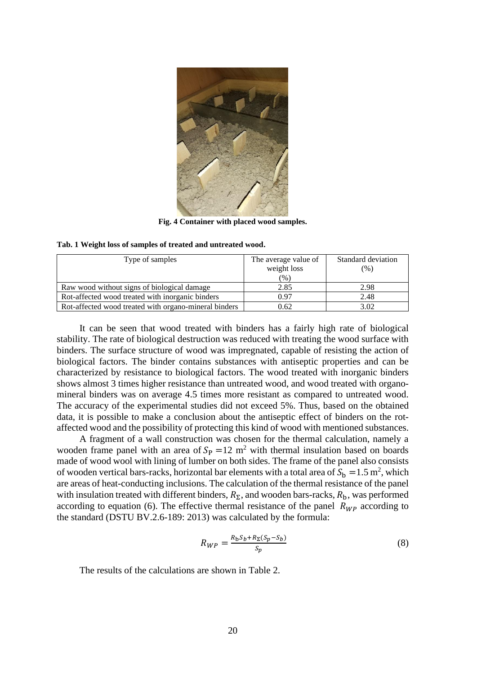

**Fig. 4 Container with placed wood samples.**

| Type of samples                                       | The average value of | Standard deviation |
|-------------------------------------------------------|----------------------|--------------------|
|                                                       | weight loss          | (%)                |
|                                                       | (%)                  |                    |
| Raw wood without signs of biological damage           | 2.85                 | 2.98               |
| Rot-affected wood treated with inorganic binders      | 0.97                 | 2.48               |
| Rot-affected wood treated with organo-mineral binders | 0.62                 | 3.02               |

| Tab. 1 Weight loss of samples of treated and untreated wood. |  |
|--------------------------------------------------------------|--|
|--------------------------------------------------------------|--|

It can be seen that wood treated with binders has a fairly high rate of biological stability. The rate of biological destruction was reduced with treating the wood surface with binders. The surface structure of wood was impregnated, capable of resisting the action of biological factors. The binder contains substances with antiseptic properties and can be characterized by resistance to biological factors. The wood treated with inorganic binders shows almost 3 times higher resistance than untreated wood, and wood treated with organomineral binders was on average 4.5 times more resistant as compared to untreated wood. The accuracy of the experimental studies did not exceed 5%. Thus, based on the obtained data, it is possible to make a conclusion about the antiseptic effect of binders on the rotaffected wood and the possibility of protecting this kind of wood with mentioned substances.

A fragment of a wall construction was chosen for the thermal calculation, namely a wooden frame panel with an area of  $S_p = 12$  m<sup>2</sup> with thermal insulation based on boards made of wood wool with lining of lumber on both sides. The frame of the panel also consists of wooden vertical bars-racks, horizontal bar elements with a total area of  $S_b = 1.5$  m<sup>2</sup>, which are areas of heat-conducting inclusions. The calculation of the thermal resistance of the panel with insulation treated with different binders,  $R_{\Sigma}$ , and wooden bars-racks,  $R_{\rm b}$ , was performed according to equation (6). The effective thermal resistance of the panel  $R_{WP}$  according to the standard (DSTU BV.2.6-189: 2013) was calculated by the formula:

$$
R_{WP} = \frac{R_b S_b + R_\Sigma (S_p - S_b)}{S_p} \tag{8}
$$

The results of the calculations are shown in Table 2.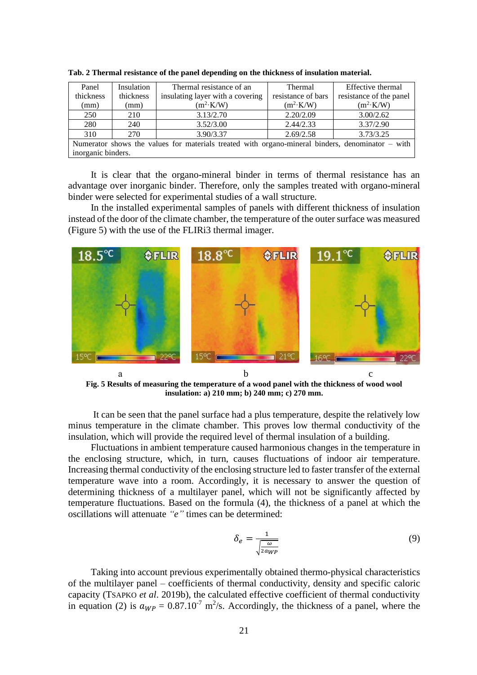| Panel                                                                                              | Insulation | Thermal resistance of an         | Thermal            | Effective thermal       |  |
|----------------------------------------------------------------------------------------------------|------------|----------------------------------|--------------------|-------------------------|--|
| thickness                                                                                          | thickness  | insulating layer with a covering | resistance of bars | resistance of the panel |  |
| (mm)                                                                                               | (mm)       | $(m^2 \cdot K/W)$                | $(m^2 \cdot K/W)$  | $(m^2 \cdot K/W)$       |  |
| 250                                                                                                | 210        | 3.13/2.70                        | 2.20/2.09          | 3.00/2.62               |  |
| 280                                                                                                | 240        | 3.52/3.00                        | 2.44/2.33          | 3.37/2.90               |  |
| 310                                                                                                | 270        | 3.90/3.37                        | 2.69/2.58          | 3.73/3.25               |  |
| Numerator shows the values for materials treated with organo-mineral binders, denominator $-$ with |            |                                  |                    |                         |  |
| inorganic binders.                                                                                 |            |                                  |                    |                         |  |

**Tab. 2 Thermal resistance of the panel depending on the thickness of insulation material.**

It is clear that the organo-mineral binder in terms of thermal resistance has an advantage over inorganic binder. Therefore, only the samples treated with organo-mineral binder were selected for experimental studies of a wall structure.

In the installed experimental samples of panels with different thickness of insulation instead of the door of the climate chamber, the temperature of the outer surface was measured (Figure 5) with the use of the FLIRi3 thermal imager.



**Fig. 5 Results of measuring the temperature of a wood panel with the thickness of wood wool insulation: a) 210 mm; b) 240 mm; c) 270 mm.**

It can be seen that the panel surface had a plus temperature, despite the relatively low minus temperature in the climate chamber. This proves low thermal conductivity of the insulation, which will provide the required level of thermal insulation of a building.

Fluctuations in ambient temperature caused harmonious changes in the temperature in the enclosing structure, which, in turn, causes fluctuations of indoor air temperature. Increasing thermal conductivity of the enclosing structure led to faster transfer of the external temperature wave into a room. Accordingly, it is necessary to answer the question of determining thickness of a multilayer panel, which will not be significantly affected by temperature fluctuations. Based on the formula (4), the thickness of a panel at which the oscillations will attenuate *"e"* times can be determined:

$$
\delta_e = \frac{1}{\sqrt{\frac{\omega}{2a_{WP}}}}
$$
\n(9)

Taking into account previous experimentally obtained thermo-physical characteristics of the multilayer panel – coefficients of thermal conductivity, density and specific caloric capacity (TSAPKO *et al*. 2019b), the calculated effective coefficient of thermal conductivity in equation (2) is  $a_{WP} = 0.87.10^{-7} \text{ m}^2/\text{s}$ . Accordingly, the thickness of a panel, where the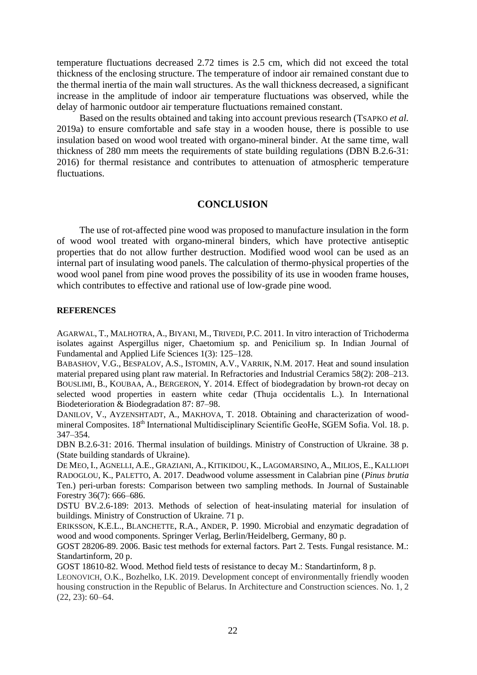temperature fluctuations decreased 2.72 times is 2.5 cm, which did not exceed the total thickness of the enclosing structure. The temperature of indoor air remained constant due to the thermal inertia of the main wall structures. As the wall thickness decreased, a significant increase in the amplitude of indoor air temperature fluctuations was observed, while the delay of harmonic outdoor air temperature fluctuations remained constant.

Based on the results obtained and taking into account previous research (TSAPKO *et al.* 2019a) to ensure comfortable and safe stay in a wooden house, there is possible to use insulation based on wood wool treated with organo-mineral binder. At the same time, wall thickness of 280 mm meets the requirements of state building regulations (DBN B.2.6-31: 2016) for thermal resistance and contributes to attenuation of atmospheric temperature fluctuations.

### **CONCLUSION**

The use of rot-affected pine wood was proposed to manufacture insulation in the form of wood wool treated with organo-mineral binders, which have protective antiseptic properties that do not allow further destruction. Modified wood wool can be used as an internal part of insulating wood panels. The calculation of thermo-physical properties of the wood wool panel from pine wood proves the possibility of its use in wooden frame houses, which contributes to effective and rational use of low-grade pine wood.

#### **REFERENCES**

AGARWAL, T., MALHOTRA, A., BIYANI, M., TRIVEDI, P.C. 2011. In vitro interaction of Trichoderma isolates against Aspergillus niger, Chaetomium sp. and Penicilium sp. In Indian Journal of Fundamental and Applied Life Sciences 1(3): 125–128.

BABASHOV, V.G., BESPALOV, A.S., ISTOMIN, A.V., VARRIK, N.M. 2017. Heat and sound insulation material prepared using plant raw material. In Refractories and Industrial Ceramics 58(2): 208–213. BOUSLIMI, B., KOUBAA, A., BERGERON, Y. 2014. Effect of biodegradation by brown-rot decay on selected wood properties in eastern white cedar (Thuja occidentalis L.). In International Biodeterioration & Biodegradation 87: 87–98.

DANILOV, V., AYZENSHTADT, A., MAKHOVA, T. 2018. Obtaining and characterization of woodmineral Composites. 18<sup>th</sup> International Multidisciplinary Scientific GeoHe, SGEM Sofia. Vol. 18. p. 347–354.

DBN B.2.6-31: 2016. Thermal insulation of buildings. Ministry of Construction of Ukraine. 38 p. (State building standards of Ukraine).

DE MEO, I., AGNELLI, A.E., GRAZIANI, A., KITIKIDOU, K., LAGOMARSINO, A., MILIOS, E., KALLIOPI RADOGLOU, K., PALETTO, A. 2017. Deadwood volume assessment in Calabrian pine (*Pinus brutia* Ten.) peri-urban forests: Comparison between two sampling methods. In Journal of Sustainable Forestry 36(7): 666–686.

DSTU BV.2.6-189: 2013. Methods of selection of heat-insulating material for insulation of buildings. Ministry of Construction of Ukraine. 71 p.

ERIKSSON, K.E.L., BLANCHETTE, R.A., ANDER, P. 1990. Microbial and enzymatic degradation of wood and wood components. Springer Verlag, Berlin/Heidelberg, Germany, 80 p.

GOST 28206-89. 2006. Basic test methods for external factors. Part 2. Tests. Fungal resistance. M.: Standartinform, 20 p.

GOST 18610-82. Wood. Method field tests of resistance to decay M.: Standartinform, 8 p.

LEONOVICH, O.K., Bozhelko, I.K. 2019. Development concept of environmentally friendly wooden housing construction in the Republic of Belarus. In Architecture and Construction sciences. No. 1, 2 (22, 23): 60–64.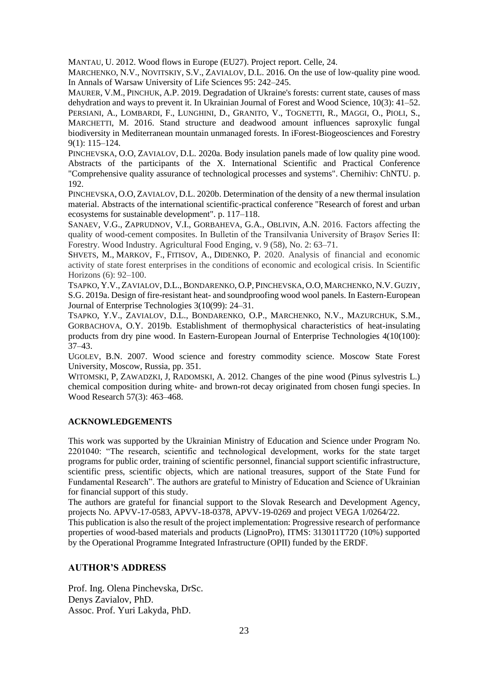MANTAU, U. 2012. Wood flows in Europe (EU27). Project report. Celle, 24.

MARCHENKO, N.V., NOVITSKIY, S.V., ZAVIALOV, D.L. 2016. On the use of low-quality pine wood. In Annals of Warsaw University of Life Sciences 95: 242–245.

MAURER, V.M., PINCHUK, A.P. 2019. Degradation of Ukraine's forests: current state, causes of mass dehydration and ways to prevent it. In Ukrainian Journal of Forest and Wood Science, 10(3): 41–52. PERSIANI, A., LOMBARDI, F., LUNGHINI, D., GRANITO, V., TOGNETTI, R., MAGGI, O., PIOLI, S., MARCHETTI, M. 2016. Stand structure and deadwood amount influences saproxylic fungal biodiversity in Mediterranean mountain unmanaged forests. In iForest-Biogeosciences and Forestry 9(1): 115–124.

PINCHEVSKA, O.O, ZAVIALOV, D.L. 2020a. Body insulation panels made of low quality pine wood. Abstracts of the participants of the X. International Scientific and Practical Conference "Comprehensive quality assurance of technological processes and systems". Chernihiv: ChNTU. p. 192.

PINCHEVSKA, O.O, ZAVIALOV, D.L. 2020b. Determination of the density of a new thermal insulation material. Abstracts of the international scientific-practical conference "Research of forest and urban ecosystems for sustainable development". p. 117–118.

SANAEV, V.G., ZAPRUDNOV, V.I., GORBAHEVA, G.A., OBLIVIN, A.N. 2016. Factors affecting the quality of wood-cement composites. In Bulletin of the Transilvania University of Braşov Series II: Forestry. Wood Industry. Agricultural Food Enging, v. 9 (58), No. 2: 63–71.

S[HVETS](https://www.scopus.com/authid/detail.uri?authorId=57214888616), M., M[ARKOV](https://www.scopus.com/authid/detail.uri?authorId=56024963800), F., F[ITISOV](https://www.scopus.com/authid/detail.uri?authorId=57316407400), A., D[IDENKO](https://www.scopus.com/authid/detail.uri?authorId=57315971600), P. 2020. Analysis of financial and economic activity of state forest enterprises in the conditions of economic and ecological crisis. In [Scientific](https://www.scopus.com/sourceid/21101062495?origin=resultslist)  [Horizons](https://www.scopus.com/sourceid/21101062495?origin=resultslist) (6): 92–100.

TSAPKO, Y.V., ZAVIALOV, D.L.,BONDARENKO, O.P, PINCHEVSKA, O.O, MARCHENKO, N.V. GUZIY, S.G. 2019a. Design of fire-resistant heat- and soundproofing wood wool panels. In Eastern-European Journal of Enterprise Technologies 3(10(99): 24–31.

TSAPKO, Y.V., ZAVIALOV, D.L., BONDARENKO, O.P., MARCHENKO, N.V., MAZURCHUK, S.M., GORBACHOVA, O.Y. 2019b. Establishment of thermophysical characteristics of heat-insulating products from dry pine wood. In Eastern-European Journal of Enterprise Technologies 4(10(100): 37–43.

UGOLEV, B.N. 2007. Wood science and forestry commodity science. Moscow State Forest University, Moscow, Russia, pp. 351.

WITOMSKI, P, ZAWADZKI, J, RADOMSKI, A. 2012. Changes of the pine wood (Pinus sylvestris L.) chemical composition during white- and brown-rot decay originated from chosen fungi species. In Wood Research 57(3): 463–468.

### **ACKNOWLEDGEMENTS**

This work was supported by the Ukrainian Ministry of Education and Science under Program No. 2201040: "The research, scientific and technological development, works for the state target programs for public order, training of scientific personnel, financial support scientific infrastructure, scientific press, scientific objects, which are national treasures, support of the State Fund for Fundamental Research". The authors are grateful to Ministry of Education and Science of Ukrainian for financial support of this study.

The authors are grateful for financial support to the Slovak Research and Development Agency, projects No. APVV-17-0583, APVV-18-0378, APVV-19-0269 and project VEGA 1/0264/22.

This publication is also the result of the project implementation: Progressive research of performance properties of wood-based materials and products (LignoPro), ITMS: 313011T720 (10%) supported by the Operational Programme Integrated Infrastructure (OPII) funded by the ERDF.

### **AUTHOR'S ADDRESS**

Prof. Ing. Olena Pinchevska, DrSc. Denys Zavialov, PhD. Assoc. Prof. Yuri Lakyda, PhD.